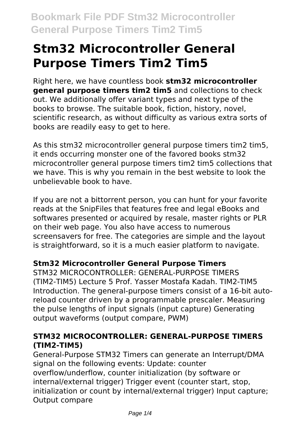# **Stm32 Microcontroller General Purpose Timers Tim2 Tim5**

Right here, we have countless book **stm32 microcontroller general purpose timers tim2 tim5** and collections to check out. We additionally offer variant types and next type of the books to browse. The suitable book, fiction, history, novel, scientific research, as without difficulty as various extra sorts of books are readily easy to get to here.

As this stm32 microcontroller general purpose timers tim2 tim5, it ends occurring monster one of the favored books stm32 microcontroller general purpose timers tim2 tim5 collections that we have. This is why you remain in the best website to look the unbelievable book to have.

If you are not a bittorrent person, you can hunt for your favorite reads at the SnipFiles that features free and legal eBooks and softwares presented or acquired by resale, master rights or PLR on their web page. You also have access to numerous screensavers for free. The categories are simple and the layout is straightforward, so it is a much easier platform to navigate.

## **Stm32 Microcontroller General Purpose Timers**

STM32 MICROCONTROLLER: GENERAL-PURPOSE TIMERS (TIM2-TIM5) Lecture 5 Prof. Yasser Mostafa Kadah. TIM2-TIM5 Introduction. The general-purpose timers consist of a 16-bit autoreload counter driven by a programmable prescaler. Measuring the pulse lengths of input signals (input capture) Generating output waveforms (output compare, PWM)

## **STM32 MICROCONTROLLER: GENERAL-PURPOSE TIMERS (TIM2-TIM5)**

General-Purpose STM32 Timers can generate an Interrupt/DMA signal on the following events: Update: counter overflow/underflow, counter initialization (by software or internal/external trigger) Trigger event (counter start, stop, initialization or count by internal/external trigger) Input capture; Output compare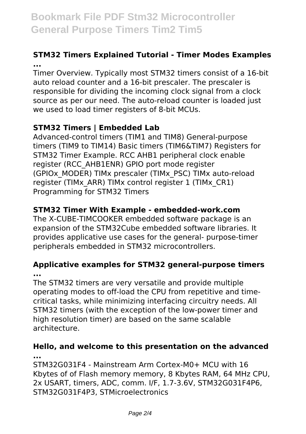# **Bookmark File PDF Stm32 Microcontroller General Purpose Timers Tim2 Tim5**

### **STM32 Timers Explained Tutorial - Timer Modes Examples ...**

Timer Overview. Typically most STM32 timers consist of a 16-bit auto reload counter and a 16-bit prescaler. The prescaler is responsible for dividing the incoming clock signal from a clock source as per our need. The auto-reload counter is loaded just we used to load timer registers of 8-bit MCUs.

## **STM32 Timers | Embedded Lab**

Advanced-control timers (TIM1 and TIM8) General-purpose timers (TIM9 to TIM14) Basic timers (TIM6&TIM7) Registers for STM32 Timer Example. RCC AHB1 peripheral clock enable register (RCC\_AHB1ENR) GPIO port mode register (GPIOx\_MODER) TIMx prescaler (TIMx\_PSC) TIMx auto-reload register (TIMx\_ARR) TIMx control register 1 (TIMx\_CR1) Programming for STM32 Timers

### **STM32 Timer With Example - embedded-work.com**

The X-CUBE-TIMCOOKER embedded software package is an expansion of the STM32Cube embedded software libraries. It provides applicative use cases for the general- purpose-timer peripherals embedded in STM32 microcontrollers.

#### **Applicative examples for STM32 general-purpose timers ...**

The STM32 timers are very versatile and provide multiple operating modes to off-load the CPU from repetitive and timecritical tasks, while minimizing interfacing circuitry needs. All STM32 timers (with the exception of the low-power timer and high resolution timer) are based on the same scalable architecture.

#### **Hello, and welcome to this presentation on the advanced ...**

STM32G031F4 - Mainstream Arm Cortex-M0+ MCU with 16 Kbytes of of Flash memory memory, 8 Kbytes RAM, 64 MHz CPU, 2x USART, timers, ADC, comm. I/F, 1.7-3.6V, STM32G031F4P6, STM32G031F4P3, STMicroelectronics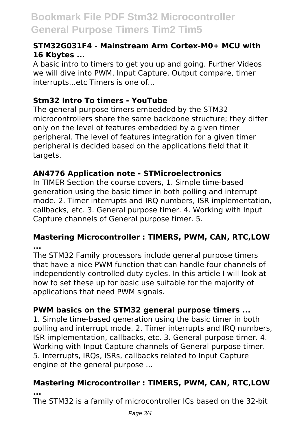# **Bookmark File PDF Stm32 Microcontroller General Purpose Timers Tim2 Tim5**

#### **STM32G031F4 - Mainstream Arm Cortex-M0+ MCU with 16 Kbytes ...**

A basic intro to timers to get you up and going. Further Videos we will dive into PWM, Input Capture, Output compare, timer interrupts...etc Timers is one of...

#### **Stm32 Intro To timers - YouTube**

The general purpose timers embedded by the STM32 microcontrollers share the same backbone structure; they differ only on the level of features embedded by a given timer peripheral. The level of features integration for a given timer peripheral is decided based on the applications field that it targets.

#### **AN4776 Application note - STMicroelectronics**

In TIMER Section the course covers, 1. Simple time-based generation using the basic timer in both polling and interrupt mode. 2. Timer interrupts and IRQ numbers, ISR implementation, callbacks, etc. 3. General purpose timer. 4. Working with Input Capture channels of General purpose timer. 5.

#### **Mastering Microcontroller : TIMERS, PWM, CAN, RTC,LOW ...**

The STM32 Family processors include general purpose timers that have a nice PWM function that can handle four channels of independently controlled duty cycles. In this article I will look at how to set these up for basic use suitable for the majority of applications that need PWM signals.

#### **PWM basics on the STM32 general purpose timers ...**

1. Simple time-based generation using the basic timer in both polling and interrupt mode. 2. Timer interrupts and IRQ numbers, ISR implementation, callbacks, etc. 3. General purpose timer. 4. Working with Input Capture channels of General purpose timer. 5. Interrupts, IRQs, ISRs, callbacks related to Input Capture engine of the general purpose ...

# **Mastering Microcontroller : TIMERS, PWM, CAN, RTC,LOW**

**...**

The STM32 is a family of microcontroller ICs based on the 32-bit